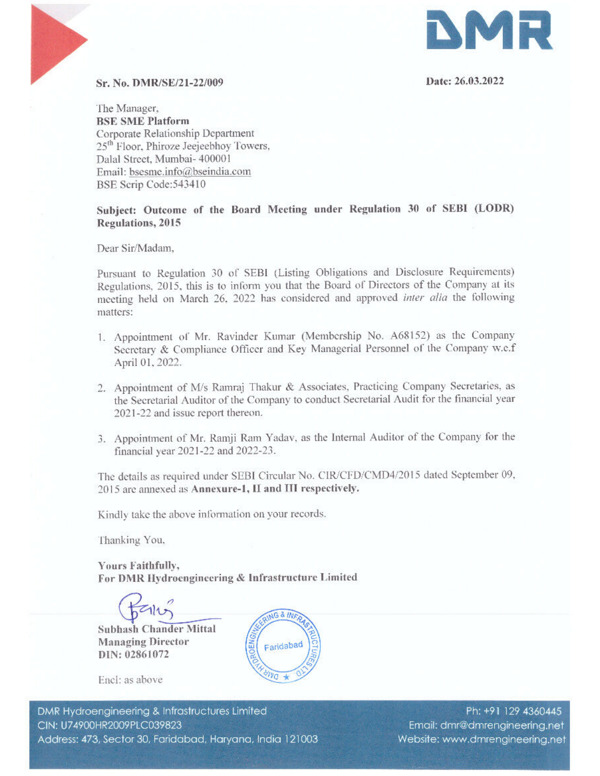

# Sr. No. DMR/SE/21-22/009 Date: 26.03.2022

'The Manager, BSE SME Platform Corporate Relationship Department 25<sup>th</sup> Floor. Phiroze Jeejeebhoy Towers, 25 Floor, Filitoze Jeejeebhoy<br>Dalal Street, Mumbai- 400001<br>Email: bsesme.info@bseindia Email: bsesme.info@bseindia.com BSE Scrip Code:543410

Subject: Outcome of the Board Meeting under Regulation 30 of SEBI (LODR) Regulations, 2015

Dear Sir/Madam,

Pursuant to Regulation 30 of SEBI (Listing Obligations and Disclosure Requirements) Regulations, 2015, this is to inform you that the Board of Directors of the Company at its meeting held on March 26. 2022 has considered and approved inter alia the following matters: **C**<br>
SER AG, DMRESI/21-120899<br>
The Moment Relationship Dependent<br>
Corporant Relationship Dependent<br>
Corporant Relationship Dependent<br>
Corporant Relationship Dependent<br>
SER ( $\Phi$  Corporations) The Corporations (and the sta

- 1. Appointment of Mr. Ravinder Kumar (Membership No. A68152) as the Company Secretary & Compliance Officer and Key Managerial Personnel of the Company w.c.f April 01, 2022.
- 2. Appointment of M/s Ramraj Thakur & Associates, Practicing Company Secretaries, as the Secretarial Auditor of the Company to conduct Secretarial Audit for the financial year 2021-22 and issue report thereon.
- 3. Appointment of Mr. Ramji Ram Yadav, as the Internal Auditor of the Company for the financial year 2071-22 and 2022-23.

The details as required under SEBI Circular No. CIR/CFD/CMD4/2015 dated September 09, 2015 are annexed as Annexure-1, II and III respectively.

Kindly take the above information on your records,

Thanking You.

Yours Faithfully, For DMR Hydroenginecring & Infrastructure Limited rfully,<br>lydroengineeri<br>lک

a

Subhash Chander Mittal Managing Director DIN: 02861072



Enel: as above

DMR Hydro<br>CIN: U7490<br>Address: 47 )<br>der Mittal<br>ector<br>Afrastructures Limi<br>323<br>idabad, Haryana DMR Hydroengineering & Infrastructures Limited Ph: +91 129 4360445 Address: 473, Sector 30, Faridabad, Haryana, India 121003 Website: www.dmrengineering.net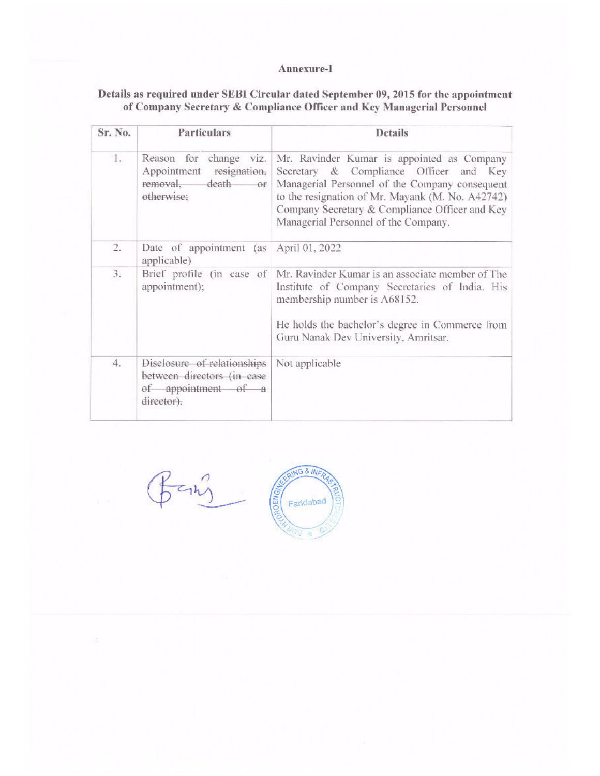### Annexure-1

# Details as required under SEBI Circular dated September 09, 2015 for the appointment Annexure-I<br>
Details as required under SEBI Circular dated September<br>
of Company Secretary & Compliance Officer and Ke of Company Secretary & Compliance Officer and Key Managerial Personnel

| Annexure-I<br>Details as required under SEBI Circular dated September 09, 2015 for the appointment<br>of Company Secretary & Compliance Officer and Key Managerial Personnel<br>Particulars<br><b>Details</b><br>Mr. Ravinder Kumar is appointed as Company<br>1.<br>Reason for change viz.<br>Appointment resignation,<br>Secretary & Compliance Officer and Key<br>Managerial Personnel of the Company consequent<br>removal,<br>death or<br>otherwise;<br>to the resignation of Mr. Mayank (M. No. A42742)<br>Company Secretary & Compliance Officer and Key<br>Managerial Personnel of the Company.<br>Date of appointment (as April 01, 2022<br>$\overline{2}$ .<br>applicable)<br>3.<br>Mr. Ravinder Kumar is an associate member of The<br>Brief profile (in case of<br>appointment);<br>Institute of Company Secretaries of India. His<br>membership number is A68152.<br>He holds the bachelor's degree in Commerce from<br>Guru Nanak Dev University, Amritsar.<br>4.<br>Disclosure of relationships<br>Not applicable<br>between directors (in case<br>of appointment of a<br>director). |         |  |
|-----------------------------------------------------------------------------------------------------------------------------------------------------------------------------------------------------------------------------------------------------------------------------------------------------------------------------------------------------------------------------------------------------------------------------------------------------------------------------------------------------------------------------------------------------------------------------------------------------------------------------------------------------------------------------------------------------------------------------------------------------------------------------------------------------------------------------------------------------------------------------------------------------------------------------------------------------------------------------------------------------------------------------------------------------------------------------------------------------|---------|--|
|                                                                                                                                                                                                                                                                                                                                                                                                                                                                                                                                                                                                                                                                                                                                                                                                                                                                                                                                                                                                                                                                                                     |         |  |
|                                                                                                                                                                                                                                                                                                                                                                                                                                                                                                                                                                                                                                                                                                                                                                                                                                                                                                                                                                                                                                                                                                     |         |  |
|                                                                                                                                                                                                                                                                                                                                                                                                                                                                                                                                                                                                                                                                                                                                                                                                                                                                                                                                                                                                                                                                                                     |         |  |
|                                                                                                                                                                                                                                                                                                                                                                                                                                                                                                                                                                                                                                                                                                                                                                                                                                                                                                                                                                                                                                                                                                     |         |  |
|                                                                                                                                                                                                                                                                                                                                                                                                                                                                                                                                                                                                                                                                                                                                                                                                                                                                                                                                                                                                                                                                                                     |         |  |
|                                                                                                                                                                                                                                                                                                                                                                                                                                                                                                                                                                                                                                                                                                                                                                                                                                                                                                                                                                                                                                                                                                     |         |  |
|                                                                                                                                                                                                                                                                                                                                                                                                                                                                                                                                                                                                                                                                                                                                                                                                                                                                                                                                                                                                                                                                                                     |         |  |
|                                                                                                                                                                                                                                                                                                                                                                                                                                                                                                                                                                                                                                                                                                                                                                                                                                                                                                                                                                                                                                                                                                     |         |  |
|                                                                                                                                                                                                                                                                                                                                                                                                                                                                                                                                                                                                                                                                                                                                                                                                                                                                                                                                                                                                                                                                                                     |         |  |
|                                                                                                                                                                                                                                                                                                                                                                                                                                                                                                                                                                                                                                                                                                                                                                                                                                                                                                                                                                                                                                                                                                     |         |  |
|                                                                                                                                                                                                                                                                                                                                                                                                                                                                                                                                                                                                                                                                                                                                                                                                                                                                                                                                                                                                                                                                                                     |         |  |
|                                                                                                                                                                                                                                                                                                                                                                                                                                                                                                                                                                                                                                                                                                                                                                                                                                                                                                                                                                                                                                                                                                     |         |  |
|                                                                                                                                                                                                                                                                                                                                                                                                                                                                                                                                                                                                                                                                                                                                                                                                                                                                                                                                                                                                                                                                                                     |         |  |
|                                                                                                                                                                                                                                                                                                                                                                                                                                                                                                                                                                                                                                                                                                                                                                                                                                                                                                                                                                                                                                                                                                     |         |  |
|                                                                                                                                                                                                                                                                                                                                                                                                                                                                                                                                                                                                                                                                                                                                                                                                                                                                                                                                                                                                                                                                                                     |         |  |
|                                                                                                                                                                                                                                                                                                                                                                                                                                                                                                                                                                                                                                                                                                                                                                                                                                                                                                                                                                                                                                                                                                     |         |  |
|                                                                                                                                                                                                                                                                                                                                                                                                                                                                                                                                                                                                                                                                                                                                                                                                                                                                                                                                                                                                                                                                                                     |         |  |
|                                                                                                                                                                                                                                                                                                                                                                                                                                                                                                                                                                                                                                                                                                                                                                                                                                                                                                                                                                                                                                                                                                     |         |  |
|                                                                                                                                                                                                                                                                                                                                                                                                                                                                                                                                                                                                                                                                                                                                                                                                                                                                                                                                                                                                                                                                                                     |         |  |
|                                                                                                                                                                                                                                                                                                                                                                                                                                                                                                                                                                                                                                                                                                                                                                                                                                                                                                                                                                                                                                                                                                     |         |  |
|                                                                                                                                                                                                                                                                                                                                                                                                                                                                                                                                                                                                                                                                                                                                                                                                                                                                                                                                                                                                                                                                                                     | Sr. No. |  |
|                                                                                                                                                                                                                                                                                                                                                                                                                                                                                                                                                                                                                                                                                                                                                                                                                                                                                                                                                                                                                                                                                                     |         |  |
|                                                                                                                                                                                                                                                                                                                                                                                                                                                                                                                                                                                                                                                                                                                                                                                                                                                                                                                                                                                                                                                                                                     |         |  |
|                                                                                                                                                                                                                                                                                                                                                                                                                                                                                                                                                                                                                                                                                                                                                                                                                                                                                                                                                                                                                                                                                                     |         |  |
|                                                                                                                                                                                                                                                                                                                                                                                                                                                                                                                                                                                                                                                                                                                                                                                                                                                                                                                                                                                                                                                                                                     |         |  |

ING & INFA Bang **Allegar**<br>
Faridabad<br> **R**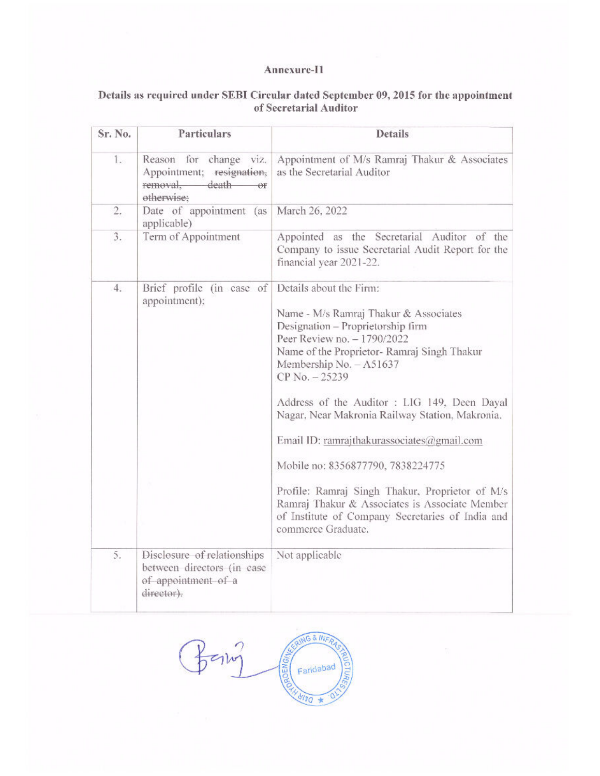### Annexure-I1

# Details as required under SEBI Circular dated September 09, 2015 for the appointment of Secretarial Auditor

|         |                                                                                                | Annexure-I1<br>Details as required under SEBI Circular dated September 09, 2015 for the appointment                                                                                        |
|---------|------------------------------------------------------------------------------------------------|--------------------------------------------------------------------------------------------------------------------------------------------------------------------------------------------|
| Sr. No. |                                                                                                |                                                                                                                                                                                            |
|         | Particulars                                                                                    | of Secretarial Auditor<br><b>Details</b>                                                                                                                                                   |
| $1 -$   | for change viz.<br>Reason<br>Appointment; resignation,<br>removal. death                       | as the Secretarial Auditor                                                                                                                                                                 |
| 2.      | otherwise;<br>Date of appointment<br>(as                                                       | March 26, 2022                                                                                                                                                                             |
| 3.      | applicable)<br>Term of Appointment                                                             | Appointment of M/s Ramraj Thakur & Associates<br>Appointed as the Secretarial Auditor of the<br>Company to issue Secretarial Audit Report for the<br>financial year 2021-22.               |
| 4.      | Brief profile (in case of                                                                      | Details about the Firm:                                                                                                                                                                    |
|         | appointment);                                                                                  | Name - M/s Ramraj Thakur & Associates<br>Designation - Proprietorship firm<br>Peer Review no. - 1790/2022<br>Name of the Proprietor- Ramraj Singh Thakur<br>Membership No. - A51637        |
|         |                                                                                                | CP No. - 25239<br>Address of the Auditor : LIG 149, Deen Dayal<br>Nagar, Near Makronia Railway Station, Makronia.                                                                          |
|         |                                                                                                | Email ID: ramrajthakurassociates@gmail.com                                                                                                                                                 |
|         |                                                                                                | Mobile no: 8356877790, 7838224775<br>Profile: Ramraj Singh Thakur, Proprietor of M/s<br>Ramraj Thakur & Associates is Associate Member<br>of Institute of Company Secretaries of India and |
|         |                                                                                                | commerce Graduate.                                                                                                                                                                         |
| 5.      | Disclosure of relationships<br>between directors (in case<br>of appointment of a<br>director). | Not applicable                                                                                                                                                                             |
|         |                                                                                                | <b>AG &amp; INF</b><br>ROENGA                                                                                                                                                              |